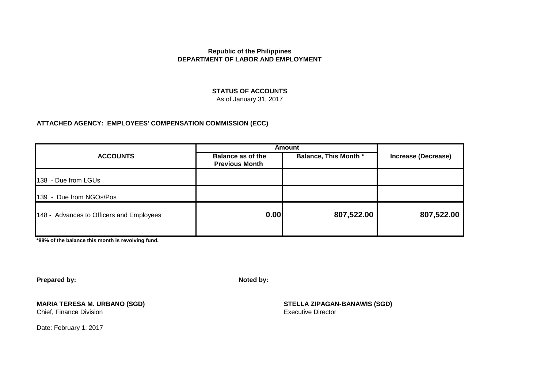#### **STATUS OF ACCOUNTS**

As of January 31, 2017

#### **ATTACHED AGENCY: EMPLOYEES' COMPENSATION COMMISSION (ECC)**

|                                          | <b>Amount</b>                                     |                              |                            |  |
|------------------------------------------|---------------------------------------------------|------------------------------|----------------------------|--|
| <b>ACCOUNTS</b>                          | <b>Balance as of the</b><br><b>Previous Month</b> | <b>Balance, This Month *</b> | <b>Increase (Decrease)</b> |  |
| 138 - Due from LGUs                      |                                                   |                              |                            |  |
| 139 - Due from NGOs/Pos                  |                                                   |                              |                            |  |
| 148 - Advances to Officers and Employees | 0.00                                              | 807,522.00                   | 807,522.00                 |  |

**\*88% of the balance this month is revolving fund.**

**Prepared by: Noted by:**

Chief, Finance Division

Date: February 1, 2017

**MARIA TERESA M. URBANO (SGD) STELLA ZIPAGAN-BANAWIS (SGD)**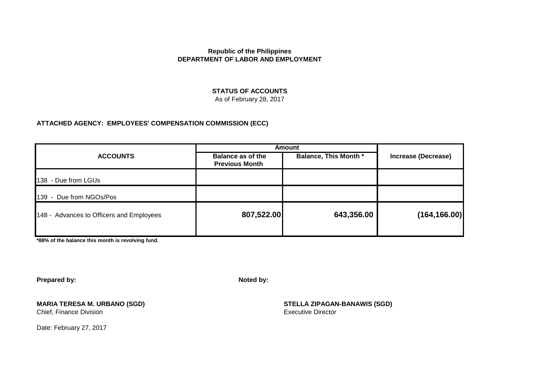#### **STATUS OF ACCOUNTS**

As of February 28, 2017

#### **ATTACHED AGENCY: EMPLOYEES' COMPENSATION COMMISSION (ECC)**

|                                          | <b>Amount</b>                              |                              |                            |
|------------------------------------------|--------------------------------------------|------------------------------|----------------------------|
| <b>ACCOUNTS</b>                          | Balance as of the<br><b>Previous Month</b> | <b>Balance, This Month *</b> | <b>Increase (Decrease)</b> |
| 138 - Due from LGUs                      |                                            |                              |                            |
| 139 - Due from NGOs/Pos                  |                                            |                              |                            |
| 148 - Advances to Officers and Employees | 807,522.00                                 | 643,356.00                   | (164, 166.00)              |

**\*88% of the balance this month is revolving fund.**

**Prepared by: Noted by:**

Chief, Finance Division

Date: February 27, 2017

**MARIA TERESA M. URBANO (SGD) STELLA ZIPAGAN-BANAWIS (SGD)**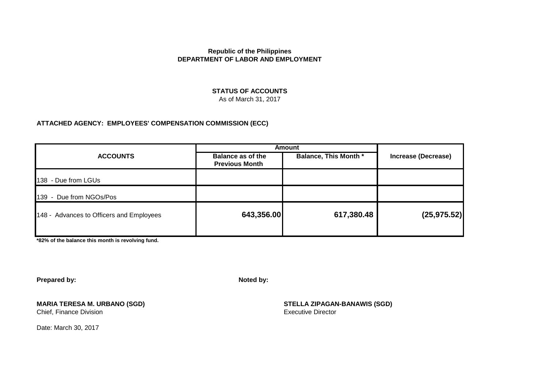### **STATUS OF ACCOUNTS**

As of March 31, 2017

#### **ATTACHED AGENCY: EMPLOYEES' COMPENSATION COMMISSION (ECC)**

|                                          | <b>Amount</b>                                     |                              |                            |  |
|------------------------------------------|---------------------------------------------------|------------------------------|----------------------------|--|
| <b>ACCOUNTS</b>                          | <b>Balance as of the</b><br><b>Previous Month</b> | <b>Balance, This Month *</b> | <b>Increase (Decrease)</b> |  |
| 138 - Due from LGUs                      |                                                   |                              |                            |  |
| 139 - Due from NGOs/Pos                  |                                                   |                              |                            |  |
| 148 - Advances to Officers and Employees | 643,356.00                                        | 617,380.48                   | (25, 975.52)               |  |

**\*82% of the balance this month is revolving fund.**

**Prepared by: Noted by:**

**MARIA TERESA M. URBANO (SGD) STELLA ZIPAGAN-BANAWIS (SGD)** Chief, Finance Division

Date: March 30, 2017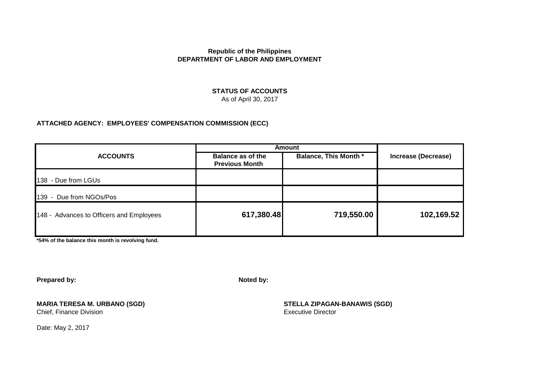#### **STATUS OF ACCOUNTS** As of April 30, 2017

#### **ATTACHED AGENCY: EMPLOYEES' COMPENSATION COMMISSION (ECC)**

|                                          | Amount                                            |                              |                     |
|------------------------------------------|---------------------------------------------------|------------------------------|---------------------|
| <b>ACCOUNTS</b>                          | <b>Balance as of the</b><br><b>Previous Month</b> | <b>Balance, This Month *</b> | Increase (Decrease) |
| 138 - Due from LGUs                      |                                                   |                              |                     |
| 139 - Due from NGOs/Pos                  |                                                   |                              |                     |
| 148 - Advances to Officers and Employees | 617,380.48                                        | 719,550.00                   | 102,169.52          |

**\*54% of the balance this month is revolving fund.**

**Prepared by: Noted by:**

Chief, Finance Division

**MARIA TERESA M. URBANO (SGD) STELLA ZIPAGAN-BANAWIS (SGD)**

Date: May 2, 2017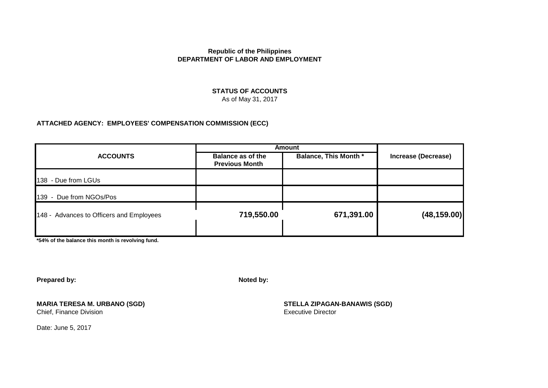#### **STATUS OF ACCOUNTS** As of May 31, 2017

#### **ATTACHED AGENCY: EMPLOYEES' COMPENSATION COMMISSION (ECC)**

| <b>Amount</b>                                     |                              |                     |
|---------------------------------------------------|------------------------------|---------------------|
| <b>Balance as of the</b><br><b>Previous Month</b> | <b>Balance, This Month *</b> | Increase (Decrease) |
|                                                   |                              |                     |
|                                                   |                              |                     |
| 719,550.00                                        | 671,391.00                   | (48, 159.00)        |
|                                                   |                              |                     |

**\*54% of the balance this month is revolving fund.**

**Prepared by: Noted by:**

**MARIA TERESA M. URBANO (SGD) STELLA ZIPAGAN-BANAWIS (SGD)** Chief, Finance Division

Date: June 5, 2017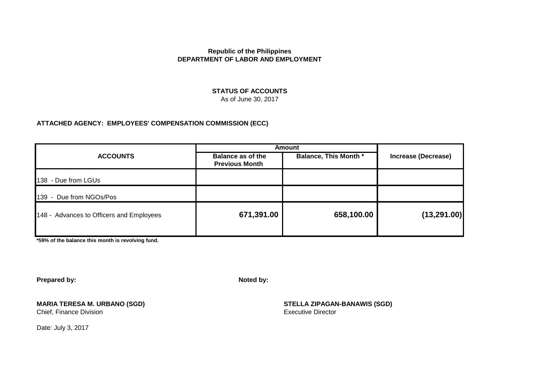## **STATUS OF ACCOUNTS**

As of June 30, 2017

#### **ATTACHED AGENCY: EMPLOYEES' COMPENSATION COMMISSION (ECC)**

|                                          | <b>Amount</b>                              |                              |                            |  |
|------------------------------------------|--------------------------------------------|------------------------------|----------------------------|--|
| <b>ACCOUNTS</b>                          | Balance as of the<br><b>Previous Month</b> | <b>Balance, This Month *</b> | <b>Increase (Decrease)</b> |  |
| 138 - Due from LGUs                      |                                            |                              |                            |  |
| 139 - Due from NGOs/Pos                  |                                            |                              |                            |  |
| 148 - Advances to Officers and Employees | 671,391.00                                 | 658,100.00                   | (13, 291.00)               |  |

**\*59% of the balance this month is revolving fund.**

**Prepared by: Noted by:**

**MARIA TERESA M. URBANO (SGD) STELLA ZIPAGAN-BANAWIS (SGD)** Chief, Finance Division

Date: July 3, 2017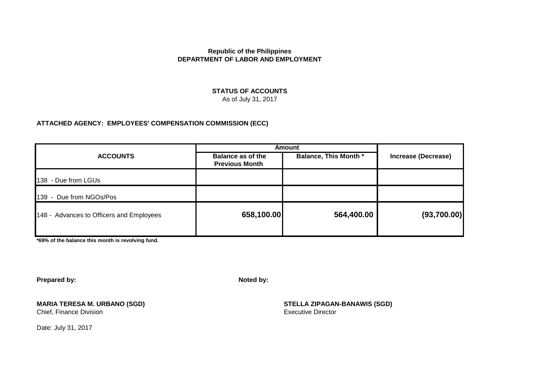#### **STATUS OF ACCOUNTS** As of July 31, 2017

# **ATTACHED AGENCY: EMPLOYEES' COMPENSATION COMMISSION (ECC)**

|                                          | Amount                                            |                              |                            |  |
|------------------------------------------|---------------------------------------------------|------------------------------|----------------------------|--|
| <b>ACCOUNTS</b>                          | <b>Balance as of the</b><br><b>Previous Month</b> | <b>Balance, This Month *</b> | <b>Increase (Decrease)</b> |  |
| 138 - Due from LGUs                      |                                                   |                              |                            |  |
| 139 - Due from NGOs/Pos                  |                                                   |                              |                            |  |
| 148 - Advances to Officers and Employees | 658,100.00                                        | 564,400.00                   | (93,700.00)                |  |

**\*69% of the balance this month is revolving fund.**

**Prepared by: Noted by:**

**MARIA TERESA M. URBANO (SGD) STELLA ZIPAGAN-BANAWIS (SGD)** Chief, Finance Division

Date: July 31, 2017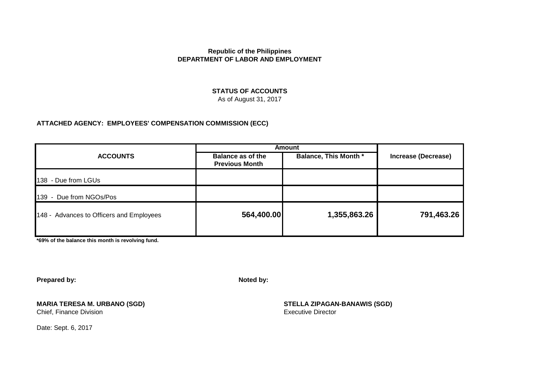# **STATUS OF ACCOUNTS**

As of August 31, 2017

#### **ATTACHED AGENCY: EMPLOYEES' COMPENSATION COMMISSION (ECC)**

|                                          | Amount                                            |                              |                            |
|------------------------------------------|---------------------------------------------------|------------------------------|----------------------------|
| <b>ACCOUNTS</b>                          | <b>Balance as of the</b><br><b>Previous Month</b> | <b>Balance, This Month *</b> | <b>Increase (Decrease)</b> |
| 138 - Due from LGUs                      |                                                   |                              |                            |
| 139 - Due from NGOs/Pos                  |                                                   |                              |                            |
| 148 - Advances to Officers and Employees | 564,400.00                                        | 1,355,863.26                 | 791,463.26                 |

**\*69% of the balance this month is revolving fund.**

**Prepared by: Noted by:**

**MARIA TERESA M. URBANO (SGD) STELLA ZIPAGAN-BANAWIS (SGD)** Chief, Finance Division

Date: Sept. 6, 2017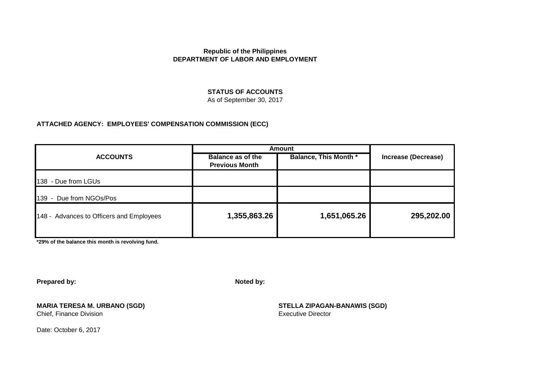#### **STATUS OF ACCOUNTS**

As of September 30, 2017

#### **ATTACHED AGENCY: EMPLOYEES' COMPENSATION COMMISSION (ECC)**

|                                          | <b>Amount</b>                              |                              |                            |
|------------------------------------------|--------------------------------------------|------------------------------|----------------------------|
| <b>ACCOUNTS</b>                          | Balance as of the<br><b>Previous Month</b> | <b>Balance, This Month *</b> | <b>Increase (Decrease)</b> |
| 138 - Due from LGUs                      |                                            |                              |                            |
| 139 - Due from NGOs/Pos                  |                                            |                              |                            |
| 148 - Advances to Officers and Employees | 1,355,863.26                               | 1,651,065.26                 | 295,202.00                 |

**\*29% of the balance this month is revolving fund.**

**Prepared by: Noted by:**

**MARIA TERESA M. URBANO (SGD) STELLA ZIPAGAN-BANAWIS (SGD)** Chief, Finance Division

Date: October 6, 2017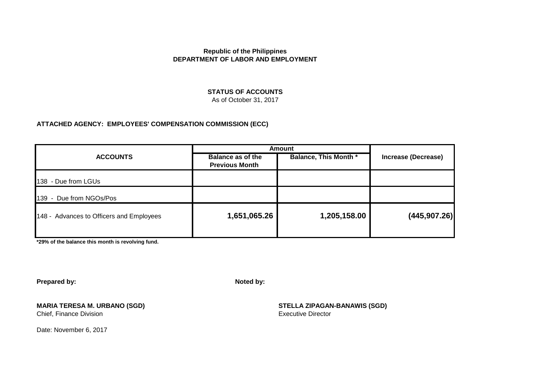#### **STATUS OF ACCOUNTS**

As of October 31, 2017

#### **ATTACHED AGENCY: EMPLOYEES' COMPENSATION COMMISSION (ECC)**

|                                          | <b>Amount</b>                                     |                              |                     |
|------------------------------------------|---------------------------------------------------|------------------------------|---------------------|
| <b>ACCOUNTS</b>                          | <b>Balance as of the</b><br><b>Previous Month</b> | <b>Balance, This Month *</b> | Increase (Decrease) |
| 138 - Due from LGUs                      |                                                   |                              |                     |
| 139 - Due from NGOs/Pos                  |                                                   |                              |                     |
| 148 - Advances to Officers and Employees | 1,651,065.26                                      | 1,205,158.00                 | (445, 907.26)       |

**\*29% of the balance this month is revolving fund.**

**Prepared by: Noted by:**

**MARIA TERESA M. URBANO (SGD) STELLA ZIPAGAN-BANAWIS (SGD)** Chief, Finance Division

Date: November 6, 2017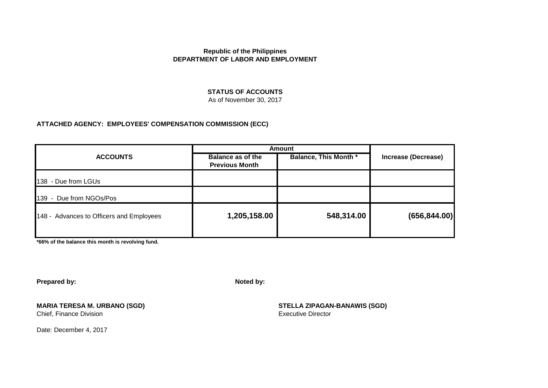#### **STATUS OF ACCOUNTS**

As of November 30, 2017

#### **ATTACHED AGENCY: EMPLOYEES' COMPENSATION COMMISSION (ECC)**

| <b>ACCOUNTS</b>                          | <b>Amount</b>                                     |                              |                            |
|------------------------------------------|---------------------------------------------------|------------------------------|----------------------------|
|                                          | <b>Balance as of the</b><br><b>Previous Month</b> | <b>Balance, This Month *</b> | <b>Increase (Decrease)</b> |
| 138 - Due from LGUs                      |                                                   |                              |                            |
| 139 - Due from NGOs/Pos                  |                                                   |                              |                            |
| 148 - Advances to Officers and Employees | 1,205,158.00                                      | 548,314.00                   | (656, 844.00)              |

**\*66% of the balance this month is revolving fund.**

**Prepared by: Noted by:**

**MARIA TERESA M. URBANO (SGD) STELLA ZIPAGAN-BANAWIS (SGD)** Chief, Finance Division

Date: December 4, 2017